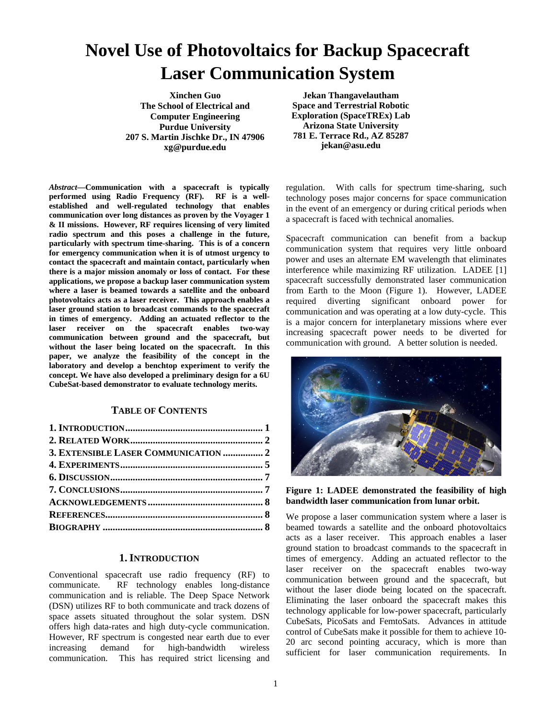# **Novel Use of Photovoltaics for Backup Spacecraft Laser Communication System**

**Xinchen Guo The School of Electrical and Computer Engineering Purdue University 207 S. Martin Jischke Dr., IN 47906 xg@purdue.edu**

*Abstract***—Communication with a spacecraft is typically performed using Radio Frequency (RF). RF is a wellestablished and well-regulated technology that enables communication over long distances as proven by the Voyager 1 & II missions. However, RF requires licensing of very limited radio spectrum and this poses a challenge in the future, particularly with spectrum time-sharing. This is of a concern for emergency communication when it is of utmost urgency to contact the spacecraft and maintain contact, particularly when there is a major mission anomaly or loss of contact. For these applications, we propose a backup laser communication system where a laser is beamed towards a satellite and the onboard photovoltaics acts as a laser receiver. This approach enables a laser ground station to broadcast commands to the spacecraft in times of emergency. Adding an actuated reflector to the laser receiver on the spacecraft enables two-way communication between ground and the spacecraft, but without the laser being located on the spacecraft. In this paper, we analyze the feasibility of the concept in the laboratory and develop a benchtop experiment to verify the concept. We have also developed a preliminary design for a 6U CubeSat-based demonstrator to evaluate technology merits.**

# **TABLE OF CONTENTS**

| 3. EXTENSIBLE LASER COMMUNICATION  2 |  |
|--------------------------------------|--|
|                                      |  |
|                                      |  |
|                                      |  |
|                                      |  |
|                                      |  |
|                                      |  |

## **1. INTRODUCTION**

<span id="page-0-0"></span>Conventional spacecraft use radio frequency (RF) to communicate. RF technology enables long-distance communication and is reliable. The Deep Space Network (DSN) utilizes RF to both communicate and track dozens of space assets situated throughout the solar system. DSN offers high data-rates and high duty-cycle communication. However, RF spectrum is congested near earth due to ever increasing demand for high-bandwidth wireless communication. This has required strict licensing and

**Jekan Thangavelautham Space and Terrestrial Robotic Exploration (SpaceTREx) Lab Arizona State University 781 E. Terrace Rd., AZ 85287 jekan@asu.edu**

regulation. With calls for spectrum time-sharing, such technology poses major concerns for space communication in the event of an emergency or during critical periods when a spacecraft is faced with technical anomalies.

Spacecraft communication can benefit from a backup communication system that requires very little onboard power and uses an alternate EM wavelength that eliminates interference while maximizing RF utilization. LADEE [1] spacecraft successfully demonstrated laser communication from Earth to the Moon (Figure 1). However, LADEE required diverting significant onboard power for communication and was operating at a low duty-cycle. This is a major concern for interplanetary missions where ever increasing spacecraft power needs to be diverted for communication with ground. A better solution is needed.



**Figure 1: LADEE demonstrated the feasibility of high bandwidth laser communication from lunar orbit.**

We propose a laser communication system where a laser is beamed towards a satellite and the onboard photovoltaics acts as a laser receiver. This approach enables a laser ground station to broadcast commands to the spacecraft in times of emergency. Adding an actuated reflector to the laser receiver on the spacecraft enables two-way communication between ground and the spacecraft, but without the laser diode being located on the spacecraft. Eliminating the laser onboard the spacecraft makes this technology applicable for low-power spacecraft, particularly CubeSats, PicoSats and FemtoSats. Advances in attitude control of CubeSats make it possible for them to achieve 10- 20 arc second pointing accuracy, which is more than sufficient for laser communication requirements. In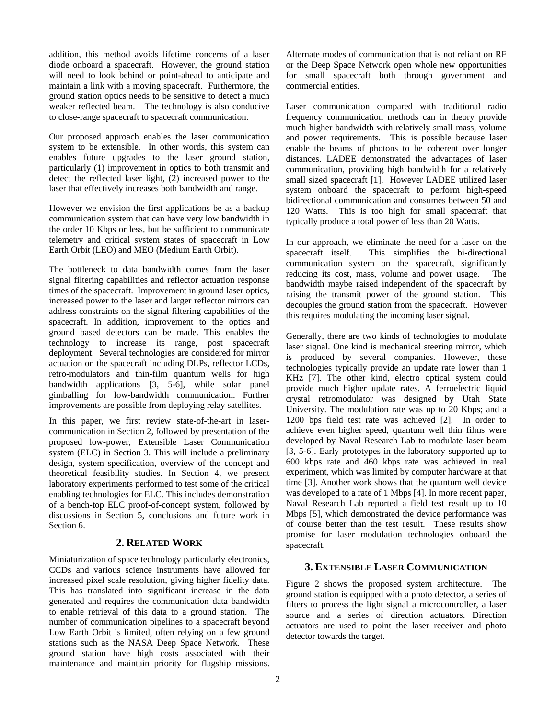addition, this method avoids lifetime concerns of a laser diode onboard a spacecraft. However, the ground station will need to look behind or point-ahead to anticipate and maintain a link with a moving spacecraft. Furthermore, the ground station optics needs to be sensitive to detect a much weaker reflected beam. The technology is also conducive to close-range spacecraft to spacecraft communication.

Our proposed approach enables the laser communication system to be extensible. In other words, this system can enables future upgrades to the laser ground station, particularly (1) improvement in optics to both transmit and detect the reflected laser light, (2) increased power to the laser that effectively increases both bandwidth and range.

However we envision the first applications be as a backup communication system that can have very low bandwidth in the order 10 Kbps or less, but be sufficient to communicate telemetry and critical system states of spacecraft in Low Earth Orbit (LEO) and MEO (Medium Earth Orbit).

The bottleneck to data bandwidth comes from the laser signal filtering capabilities and reflector actuation response times of the spacecraft. Improvement in ground laser optics, increased power to the laser and larger reflector mirrors can address constraints on the signal filtering capabilities of the spacecraft. In addition, improvement to the optics and ground based detectors can be made. This enables the technology to increase its range, post spacecraft deployment. Several technologies are considered for mirror actuation on the spacecraft including DLPs, reflector LCDs, retro-modulators and thin-film quantum wells for high bandwidth applications [3, 5-6], while solar panel gimballing for low-bandwidth communication. Further improvements are possible from deploying relay satellites.

In this paper, we first review state-of-the-art in lasercommunication in Section 2, followed by presentation of the proposed low-power, Extensible Laser Communication system (ELC) in Section 3. This will include a preliminary design, system specification, overview of the concept and theoretical feasibility studies. In Section 4, we present laboratory experiments performed to test some of the critical enabling technologies for ELC. This includes demonstration of a bench-top ELC proof-of-concept system, followed by discussions in Section 5, conclusions and future work in Section 6.

# **2. RELATED WORK**

<span id="page-1-0"></span>Miniaturization of space technology particularly electronics, CCDs and various science instruments have allowed for increased pixel scale resolution, giving higher fidelity data. This has translated into significant increase in the data generated and requires the communication data bandwidth to enable retrieval of this data to a ground station. The number of communication pipelines to a spacecraft beyond Low Earth Orbit is limited, often relying on a few ground stations such as the NASA Deep Space Network. These ground station have high costs associated with their maintenance and maintain priority for flagship missions.

Alternate modes of communication that is not reliant on RF or the Deep Space Network open whole new opportunities for small spacecraft both through government and commercial entities.

Laser communication compared with traditional radio frequency communication methods can in theory provide much higher bandwidth with relatively small mass, volume and power requirements. This is possible because laser enable the beams of photons to be coherent over longer distances. LADEE demonstrated the advantages of laser communication, providing high bandwidth for a relatively small sized spacecraft [1]. However LADEE utilized laser system onboard the spacecraft to perform high-speed bidirectional communication and consumes between 50 and 120 Watts. This is too high for small spacecraft that typically produce a total power of less than 20 Watts.

In our approach, we eliminate the need for a laser on the spacecraft itself. This simplifies the bi-directional communication system on the spacecraft, significantly reducing its cost, mass, volume and power usage. The bandwidth maybe raised independent of the spacecraft by raising the transmit power of the ground station. This decouples the ground station from the spacecraft. However this requires modulating the incoming laser signal.

Generally, there are two kinds of technologies to modulate laser signal. One kind is mechanical steering mirror, which is produced by several companies. However, these technologies typically provide an update rate lower than 1 KHz [7]. The other kind, electro optical system could provide much higher update rates. A ferroelectric liquid crystal retromodulator was designed by Utah State University. The modulation rate was up to 20 Kbps; and a 1200 bps field test rate was achieved [2]. In order to achieve even higher speed, quantum well thin films were developed by Naval Research Lab to modulate laser beam [3, 5-6]. Early prototypes in the laboratory supported up to 600 kbps rate and 460 kbps rate was achieved in real experiment, which was limited by computer hardware at that time [3]. Another work shows that the quantum well device was developed to a rate of 1 Mbps [4]. In more recent paper, Naval Research Lab reported a field test result up to 10 Mbps [5], which demonstrated the device performance was of course better than the test result. These results show promise for laser modulation technologies onboard the spacecraft.

# **3. EXTENSIBLE LASER COMMUNICATION**

<span id="page-1-1"></span>Figure 2 shows the proposed system architecture. The ground station is equipped with a photo detector, a series of filters to process the light signal a microcontroller, a laser source and a series of direction actuators. Direction actuators are used to point the laser receiver and photo detector towards the target.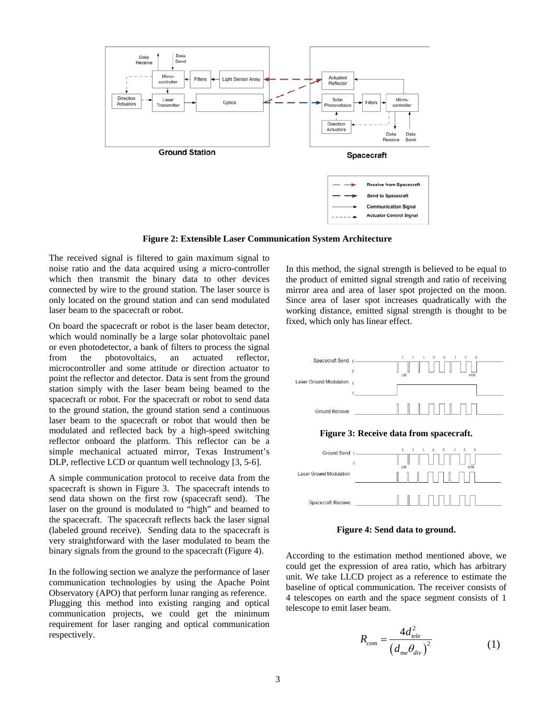

**Figure 2: Extensible Laser Communication System Architecture**

The received signal is filtered to gain maximum signal to noise ratio and the data acquired using a micro-controller which then transmit the binary data to other devices connected by wire to the ground station. The laser source is only located on the ground station and can send modulated laser beam to the spacecraft or robot.

On board the spacecraft or robot is the laser beam detector, which would nominally be a large solar photovoltaic panel or even photodetector, a bank of filters to process the signal from the photovoltaics, an actuated reflector, microcontroller and some attitude or direction actuator to point the reflector and detector. Data is sent from the ground station simply with the laser beam being beamed to the spacecraft or robot. For the spacecraft or robot to send data to the ground station, the ground station send a continuous laser beam to the spacecraft or robot that would then be modulated and reflected back by a high-speed switching reflector onboard the platform. This reflector can be a simple mechanical actuated mirror, Texas Instrument's DLP, reflective LCD or quantum well technology [3, 5-6].

A simple communication protocol to receive data from the spacecraft is shown in Figure 3. The spacecraft intends to send data shown on the first row (spacecraft send). The laser on the ground is modulated to "high" and beamed to the spacecraft. The spacecraft reflects back the laser signal (labeled ground receive). Sending data to the spacecraft is very straightforward with the laser modulated to beam the binary signals from the ground to the spacecraft (Figure 4).

In the following section we analyze the performance of laser communication technologies by using the Apache Point Observatory (APO) that perform lunar ranging as reference. Plugging this method into existing ranging and optical communication projects, we could get the minimum requirement for laser ranging and optical communication respectively.

In this method, the signal strength is believed to be equal to the product of emitted signal strength and ratio of receiving mirror area and area of laser spot projected on the moon. Since area of laser spot increases quadratically with the working distance, emitted signal strength is thought to be fixed, which only has linear effect.



**Figure 4: Send data to ground.**

According to the estimation method mentioned above, we could get the expression of area ratio, which has arbitrary unit. We take LLCD project as a reference to estimate the baseline of optical communication. The receiver consists of 4 telescopes on earth and the space segment consists of 1 telescope to emit laser beam.

$$
R_{com} = \frac{4d_{tele}^2}{\left(d_{me}\theta_{div}\right)^2} \tag{1}
$$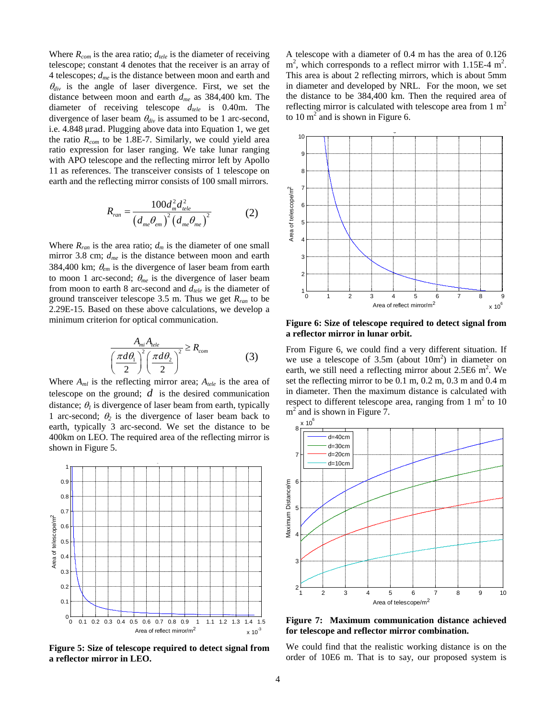Where  $R_{com}$  is the area ratio;  $d_{tele}$  is the diameter of receiving telescope; constant 4 denotes that the receiver is an array of 4 telescopes; *dme* is the distance between moon and earth and  $\theta_{div}$  is the angle of laser divergence. First, we set the distance between moon and earth *dme* as 384,400 km. The diameter of receiving telescope  $d_{tele}$  is 0.40m. The divergence of laser beam  $\theta_{div}$  is assumed to be 1 arc-second, i.e. 4.848 µrad. Plugging above data into Equation 1, we get the ratio *Rcom* to be 1.8E-7. Similarly, we could yield area ratio expression for laser ranging. We take lunar ranging with APO telescope and the reflecting mirror left by Apollo 11 as references. The transceiver consists of 1 telescope on earth and the reflecting mirror consists of 100 small mirrors.

$$
R_{ran} = \frac{100d_m^2 d_{tele}^2}{(d_{me}\theta_{em})^2 (d_{me}\theta_{me})^2}
$$
 (2)

Where  $R_{ran}$  is the area ratio;  $d_m$  is the diameter of one small mirror 3.8 cm;  $d_{me}$  is the distance between moon and earth 384,400 km; θ*em* is the divergence of laser beam from earth to moon 1 arc-second;  $\theta_{me}$  is the divergence of laser beam from moon to earth 8 arc-second and  $d_{tele}$  is the diameter of ground transceiver telescope 3.5 m. Thus we get *Rran* to be 2.29E-15. Based on these above calculations, we develop a minimum criterion for optical communication.

$$
\frac{A_{mi}A_{tele}}{\left(\frac{\pi d\theta_1}{2}\right)^2 \left(\frac{\pi d\theta_2}{2}\right)^2} \ge R_{com}
$$
 (3)

Where  $A_{ml}$  is the reflecting mirror area;  $A_{tele}$  is the area of telescope on the ground;  $d$  is the desired communication distance;  $\theta_l$  is divergence of laser beam from earth, typically 1 arc-second;  $\theta_2$  is the divergence of laser beam back to earth, typically 3 arc-second. We set the distance to be 400km on LEO. The required area of the reflecting mirror is shown in Figure 5.



**Figure 5: Size of telescope required to detect signal from a reflector mirror in LEO.**

A telescope with a diameter of 0.4 m has the area of 0.126  $m<sup>2</sup>$ , which corresponds to a reflect mirror with 1.15E-4  $m<sup>2</sup>$ . This area is about 2 reflecting mirrors, which is about 5mm in diameter and developed by NRL. For the moon, we set the distance to be 384,400 km. Then the required area of reflecting mirror is calculated with telescope area from  $1 \text{ m}^2$ to 10  $m<sup>2</sup>$  and is shown in Figure 6.



**Figure 6: Size of telescope required to detect signal from a reflector mirror in lunar orbit.**

From Figure 6, we could find a very different situation. If we use a telescope of  $3.5m$  (about  $10m^2$ ) in diameter on earth, we still need a reflecting mirror about 2.5E6  $m^2$ . We set the reflecting mirror to be 0.1 m, 0.2 m, 0.3 m and 0.4 m in diameter. Then the maximum distance is calculated with respect to different telescope area, ranging from  $1 \text{ m}^2$  to  $10$  $m<sup>2</sup>$  and is shown in Figure 7.



**Figure 7: Maximum communication distance achieved for telescope and reflector mirror combination.**

We could find that the realistic working distance is on the order of 10E6 m. That is to say, our proposed system is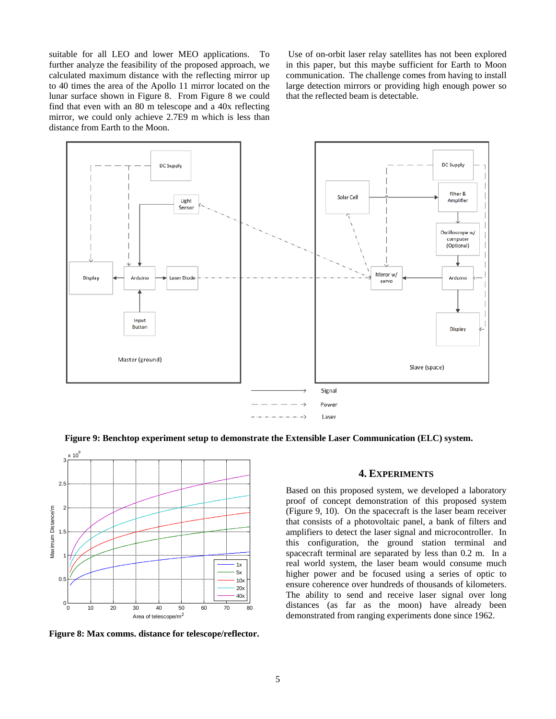suitable for all LEO and lower MEO applications. To further analyze the feasibility of the proposed approach, we calculated maximum distance with the reflecting mirror up to 40 times the area of the Apollo 11 mirror located on the lunar surface shown in Figure 8. From Figure 8 we could find that even with an 80 m telescope and a 40x reflecting mirror, we could only achieve 2.7E9 m which is less than distance from Earth to the Moon.

Use of on-orbit laser relay satellites has not been explored in this paper, but this maybe sufficient for Earth to Moon communication. The challenge comes from having to install large detection mirrors or providing high enough power so that the reflected beam is detectable.



**Figure 9: Benchtop experiment setup to demonstrate the Extensible Laser Communication (ELC) system.**



**Figure 8: Max comms. distance for telescope/reflector.**

#### **4. EXPERIMENTS**

<span id="page-4-0"></span>Based on this proposed system, we developed a laboratory proof of concept demonstration of this proposed system (Figure 9, 10). On the spacecraft is the laser beam receiver that consists of a photovoltaic panel, a bank of filters and amplifiers to detect the laser signal and microcontroller. In this configuration, the ground station terminal and spacecraft terminal are separated by less than 0.2 m. In a real world system, the laser beam would consume much higher power and be focused using a series of optic to ensure coherence over hundreds of thousands of kilometers. The ability to send and receive laser signal over long distances (as far as the moon) have already been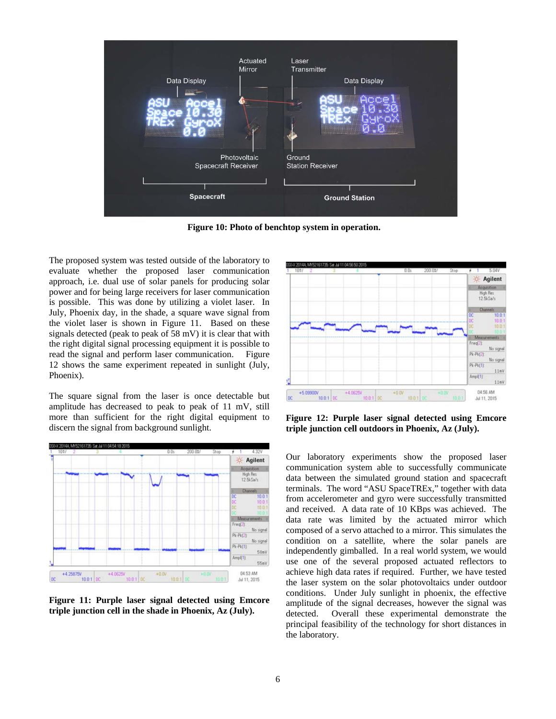

**Figure 10: Photo of benchtop system in operation.**

The proposed system was tested outside of the laboratory to evaluate whether the proposed laser communication approach, i.e. dual use of solar panels for producing solar power and for being large receivers for laser communication is possible. This was done by utilizing a violet laser. In July, Phoenix day, in the shade, a square wave signal from the violet laser is shown in Figure 11. Based on these signals detected (peak to peak of 58 mV) it is clear that with the right digital signal processing equipment it is possible to read the signal and perform laser communication. Figure 12 shows the same experiment repeated in sunlight (July, Phoenix).

The square signal from the laser is once detectable but amplitude has decreased to peak to peak of 11 mV, still more than sufficient for the right digital equipment to discern the signal from background sunlight.



**Figure 11: Purple laser signal detected using Emcore triple junction cell in the shade in Phoenix, Az (July).**



**Figure 12: Purple laser signal detected using Emcore triple junction cell outdoors in Phoenix, Az (July).**

Our laboratory experiments show the proposed laser communication system able to successfully communicate data between the simulated ground station and spacecraft terminals. The word "ASU SpaceTREx," together with data from accelerometer and gyro were successfully transmitted and received. A data rate of 10 KBps was achieved. The data rate was limited by the actuated mirror which composed of a servo attached to a mirror. This simulates the condition on a satellite, where the solar panels are independently gimballed. In a real world system, we would use one of the several proposed actuated reflectors to achieve high data rates if required. Further, we have tested the laser system on the solar photovoltaics under outdoor conditions. Under July sunlight in phoenix, the effective amplitude of the signal decreases, however the signal was detected. Overall these experimental demonstrate the principal feasibility of the technology for short distances in the laboratory.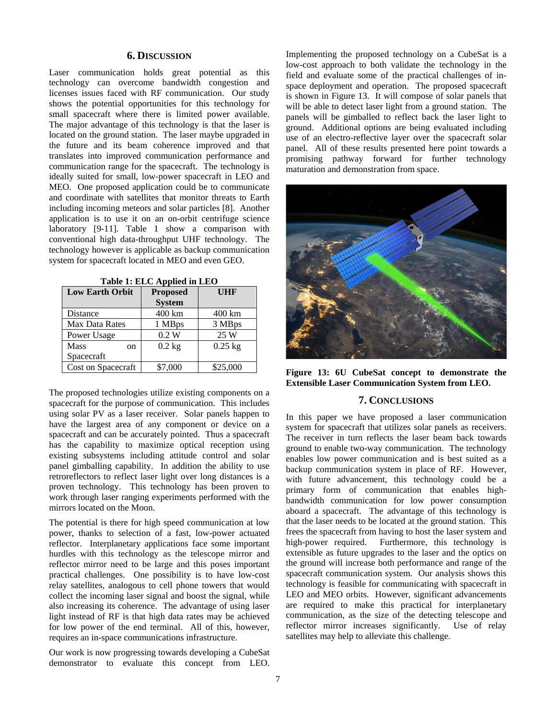## **6. DISCUSSION**

<span id="page-6-0"></span>Laser communication holds great potential as this technology can overcome bandwidth congestion and licenses issues faced with RF communication. Our study shows the potential opportunities for this technology for small spacecraft where there is limited power available. The major advantage of this technology is that the laser is located on the ground station. The laser maybe upgraded in the future and its beam coherence improved and that translates into improved communication performance and communication range for the spacecraft. The technology is ideally suited for small, low-power spacecraft in LEO and MEO. One proposed application could be to communicate and coordinate with satellites that monitor threats to Earth including incoming meteors and solar particles [8]. Another application is to use it on an on-orbit centrifuge science laboratory [9-11]. Table 1 show a comparison with conventional high data-throughput UHF technology. The technology however is applicable as backup communication system for spacecraft located in MEO and even GEO.

| <b>Low Earth Orbit</b>       | <b>Proposed</b>   | UHF               |
|------------------------------|-------------------|-------------------|
|                              | <b>System</b>     |                   |
| <b>Distance</b>              | $400 \mathrm{km}$ | $400 \mathrm{km}$ |
| <b>Max Data Rates</b>        | 1 MBps            | 3 MBps            |
| Power Usage                  | 0.2 W             | 25 W              |
| <b>Mass</b><br><sub>on</sub> | $0.2$ kg          | $0.25$ kg         |
| Spacecraft                   |                   |                   |
| Cost on Spacecraft           | \$7,000           | \$25,000          |

**Table 1: ELC Applied in LEO**

The proposed technologies utilize existing components on a spacecraft for the purpose of communication. This includes using solar PV as a laser receiver. Solar panels happen to have the largest area of any component or device on a spacecraft and can be accurately pointed. Thus a spacecraft has the capability to maximize optical reception using existing subsystems including attitude control and solar panel gimballing capability. In addition the ability to use retroreflectors to reflect laser light over long distances is a proven technology. This technology has been proven to work through laser ranging experiments performed with the mirrors located on the Moon.

The potential is there for high speed communication at low power, thanks to selection of a fast, low-power actuated reflector. Interplanetary applications face some important hurdles with this technology as the telescope mirror and reflector mirror need to be large and this poses important practical challenges. One possibility is to have low-cost relay satellites, analogous to cell phone towers that would collect the incoming laser signal and boost the signal, while also increasing its coherence. The advantage of using laser light instead of RF is that high data rates may be achieved for low power of the end terminal. All of this, however, requires an in-space communications infrastructure.

Our work is now progressing towards developing a CubeSat demonstrator to evaluate this concept from LEO.

Implementing the proposed technology on a CubeSat is a low-cost approach to both validate the technology in the field and evaluate some of the practical challenges of inspace deployment and operation. The proposed spacecraft is shown in Figure 13. It will compose of solar panels that will be able to detect laser light from a ground station. The panels will be gimballed to reflect back the laser light to ground. Additional options are being evaluated including use of an electro-reflective layer over the spacecraft solar panel. All of these results presented here point towards a promising pathway forward for further technology maturation and demonstration from space.



**Figure 13: 6U CubeSat concept to demonstrate the Extensible Laser Communication System from LEO.** 

## **7. CONCLUSIONS**

<span id="page-6-1"></span>In this paper we have proposed a laser communication system for spacecraft that utilizes solar panels as receivers. The receiver in turn reflects the laser beam back towards ground to enable two-way communication. The technology enables low power communication and is best suited as a backup communication system in place of RF. However, with future advancement, this technology could be a primary form of communication that enables highbandwidth communication for low power consumption aboard a spacecraft. The advantage of this technology is that the laser needs to be located at the ground station. This frees the spacecraft from having to host the laser system and high-power required. Furthermore, this technology is extensible as future upgrades to the laser and the optics on the ground will increase both performance and range of the spacecraft communication system. Our analysis shows this technology is feasible for communicating with spacecraft in LEO and MEO orbits. However, significant advancements are required to make this practical for interplanetary communication, as the size of the detecting telescope and reflector mirror increases significantly. Use of relay satellites may help to alleviate this challenge.